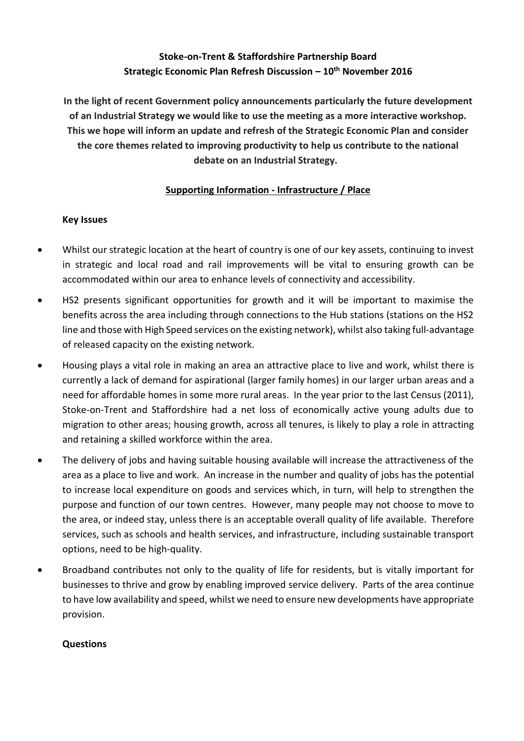**In the light of recent Government policy announcements particularly the future development of an Industrial Strategy we would like to use the meeting as a more interactive workshop. This we hope will inform an update and refresh of the Strategic Economic Plan and consider the core themes related to improving productivity to help us contribute to the national debate on an Industrial Strategy.**

## **Supporting Information - Infrastructure / Place**

## **Key Issues**

- Whilst our strategic location at the heart of country is one of our key assets, continuing to invest in strategic and local road and rail improvements will be vital to ensuring growth can be accommodated within our area to enhance levels of connectivity and accessibility.
- HS2 presents significant opportunities for growth and it will be important to maximise the benefits across the area including through connections to the Hub stations (stations on the HS2 line and those with High Speed services on the existing network), whilst also taking full-advantage of released capacity on the existing network.
- Housing plays a vital role in making an area an attractive place to live and work, whilst there is currently a lack of demand for aspirational (larger family homes) in our larger urban areas and a need for affordable homes in some more rural areas. In the year prior to the last Census (2011), Stoke-on-Trent and Staffordshire had a net loss of economically active young adults due to migration to other areas; housing growth, across all tenures, is likely to play a role in attracting and retaining a skilled workforce within the area.
- The delivery of jobs and having suitable housing available will increase the attractiveness of the area as a place to live and work. An increase in the number and quality of jobs has the potential to increase local expenditure on goods and services which, in turn, will help to strengthen the purpose and function of our town centres. However, many people may not choose to move to the area, or indeed stay, unless there is an acceptable overall quality of life available. Therefore services, such as schools and health services, and infrastructure, including sustainable transport options, need to be high-quality.
- Broadband contributes not only to the quality of life for residents, but is vitally important for businesses to thrive and grow by enabling improved service delivery. Parts of the area continue to have low availability and speed, whilst we need to ensure new developments have appropriate provision.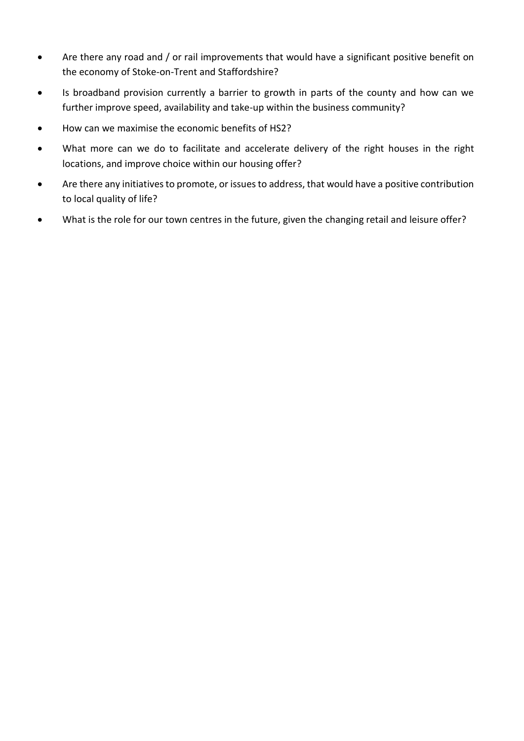- Are there any road and / or rail improvements that would have a significant positive benefit on the economy of Stoke-on-Trent and Staffordshire?
- Is broadband provision currently a barrier to growth in parts of the county and how can we further improve speed, availability and take-up within the business community?
- How can we maximise the economic benefits of HS2?
- What more can we do to facilitate and accelerate delivery of the right houses in the right locations, and improve choice within our housing offer?
- Are there any initiatives to promote, or issues to address, that would have a positive contribution to local quality of life?
- What is the role for our town centres in the future, given the changing retail and leisure offer?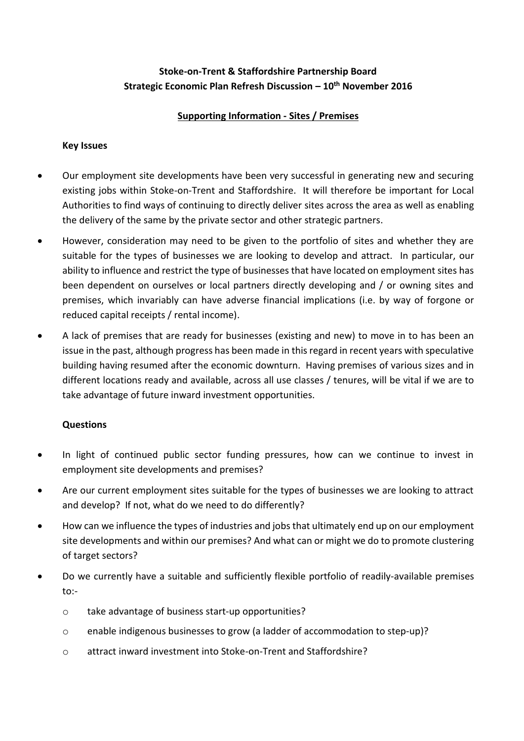## **Supporting Information - Sites / Premises**

#### **Key Issues**

- Our employment site developments have been very successful in generating new and securing existing jobs within Stoke-on-Trent and Staffordshire. It will therefore be important for Local Authorities to find ways of continuing to directly deliver sites across the area as well as enabling the delivery of the same by the private sector and other strategic partners.
- However, consideration may need to be given to the portfolio of sites and whether they are suitable for the types of businesses we are looking to develop and attract. In particular, our ability to influence and restrict the type of businesses that have located on employment sites has been dependent on ourselves or local partners directly developing and / or owning sites and premises, which invariably can have adverse financial implications (i.e. by way of forgone or reduced capital receipts / rental income).
- A lack of premises that are ready for businesses (existing and new) to move in to has been an issue in the past, although progress has been made in this regard in recent years with speculative building having resumed after the economic downturn. Having premises of various sizes and in different locations ready and available, across all use classes / tenures, will be vital if we are to take advantage of future inward investment opportunities.

- In light of continued public sector funding pressures, how can we continue to invest in employment site developments and premises?
- Are our current employment sites suitable for the types of businesses we are looking to attract and develop? If not, what do we need to do differently?
- How can we influence the types of industries and jobs that ultimately end up on our employment site developments and within our premises? And what can or might we do to promote clustering of target sectors?
- Do we currently have a suitable and sufficiently flexible portfolio of readily-available premises to:
	- o take advantage of business start-up opportunities?
	- o enable indigenous businesses to grow (a ladder of accommodation to step-up)?
	- o attract inward investment into Stoke-on-Trent and Staffordshire?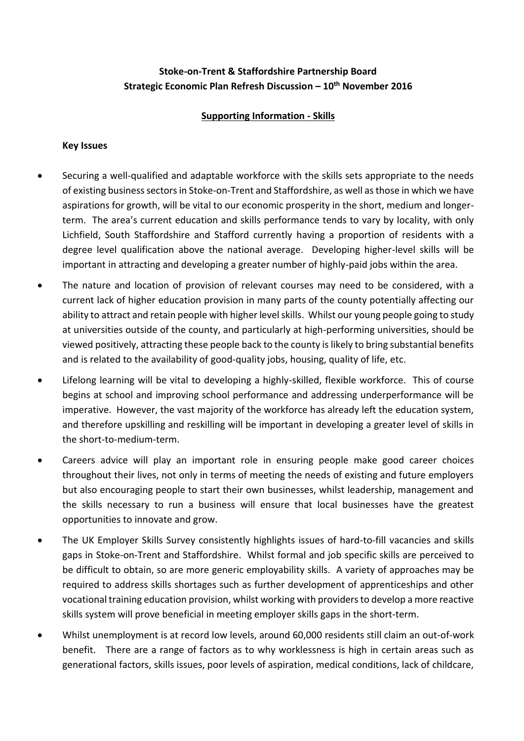## **Supporting Information - Skills**

#### **Key Issues**

- Securing a well-qualified and adaptable workforce with the skills sets appropriate to the needs of existing business sectors in Stoke-on-Trent and Staffordshire, as well as those in which we have aspirations for growth, will be vital to our economic prosperity in the short, medium and longerterm. The area's current education and skills performance tends to vary by locality, with only Lichfield, South Staffordshire and Stafford currently having a proportion of residents with a degree level qualification above the national average. Developing higher-level skills will be important in attracting and developing a greater number of highly-paid jobs within the area.
- The nature and location of provision of relevant courses may need to be considered, with a current lack of higher education provision in many parts of the county potentially affecting our ability to attract and retain people with higher level skills. Whilst our young people going to study at universities outside of the county, and particularly at high-performing universities, should be viewed positively, attracting these people back to the county is likely to bring substantial benefits and is related to the availability of good-quality jobs, housing, quality of life, etc.
- Lifelong learning will be vital to developing a highly-skilled, flexible workforce. This of course begins at school and improving school performance and addressing underperformance will be imperative. However, the vast majority of the workforce has already left the education system, and therefore upskilling and reskilling will be important in developing a greater level of skills in the short-to-medium-term.
- Careers advice will play an important role in ensuring people make good career choices throughout their lives, not only in terms of meeting the needs of existing and future employers but also encouraging people to start their own businesses, whilst leadership, management and the skills necessary to run a business will ensure that local businesses have the greatest opportunities to innovate and grow.
- The UK Employer Skills Survey consistently highlights issues of hard-to-fill vacancies and skills gaps in Stoke-on-Trent and Staffordshire. Whilst formal and job specific skills are perceived to be difficult to obtain, so are more generic employability skills. A variety of approaches may be required to address skills shortages such as further development of apprenticeships and other vocational training education provision, whilst working with providers to develop a more reactive skills system will prove beneficial in meeting employer skills gaps in the short-term.
- Whilst unemployment is at record low levels, around 60,000 residents still claim an out-of-work benefit. There are a range of factors as to why worklessness is high in certain areas such as generational factors, skills issues, poor levels of aspiration, medical conditions, lack of childcare,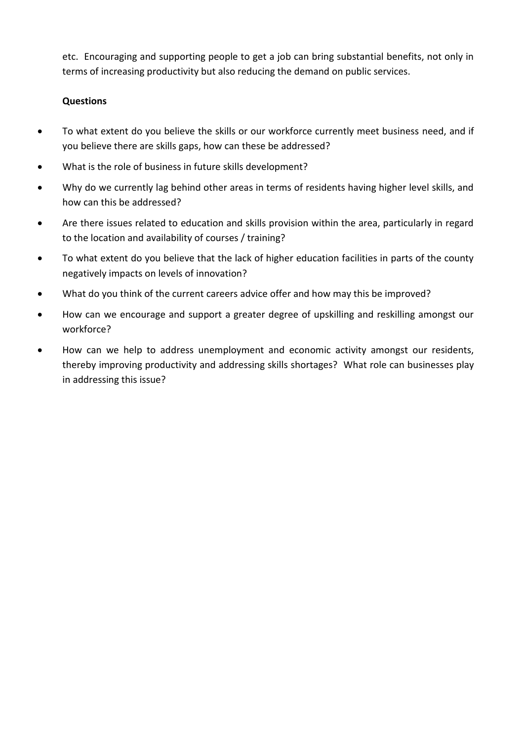etc. Encouraging and supporting people to get a job can bring substantial benefits, not only in terms of increasing productivity but also reducing the demand on public services.

- To what extent do you believe the skills or our workforce currently meet business need, and if you believe there are skills gaps, how can these be addressed?
- What is the role of business in future skills development?
- Why do we currently lag behind other areas in terms of residents having higher level skills, and how can this be addressed?
- Are there issues related to education and skills provision within the area, particularly in regard to the location and availability of courses / training?
- To what extent do you believe that the lack of higher education facilities in parts of the county negatively impacts on levels of innovation?
- What do you think of the current careers advice offer and how may this be improved?
- How can we encourage and support a greater degree of upskilling and reskilling amongst our workforce?
- How can we help to address unemployment and economic activity amongst our residents, thereby improving productivity and addressing skills shortages? What role can businesses play in addressing this issue?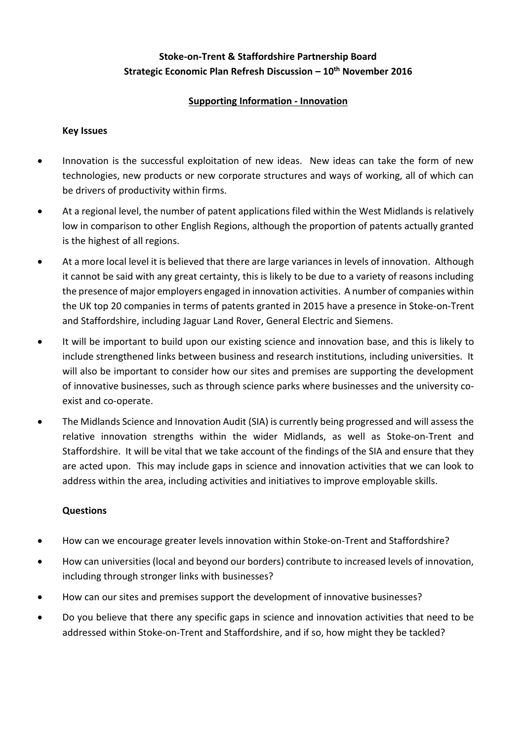## **Supporting Information - Innovation**

#### **Key Issues**

- Innovation is the successful exploitation of new ideas. New ideas can take the form of new technologies, new products or new corporate structures and ways of working, all of which can be drivers of productivity within firms.
- At a regional level, the number of patent applications filed within the West Midlands is relatively low in comparison to other English Regions, although the proportion of patents actually granted is the highest of all regions.
- At a more local level it is believed that there are large variances in levels of innovation. Although it cannot be said with any great certainty, this is likely to be due to a variety of reasons including the presence of major employers engaged in innovation activities. A number of companies within the UK top 20 companies in terms of patents granted in 2015 have a presence in Stoke-on-Trent and Staffordshire, including Jaguar Land Rover, General Electric and Siemens.
- It will be important to build upon our existing science and innovation base, and this is likely to include strengthened links between business and research institutions, including universities. It will also be important to consider how our sites and premises are supporting the development of innovative businesses, such as through science parks where businesses and the university coexist and co-operate.
- The Midlands Science and Innovation Audit (SIA) is currently being progressed and will assess the relative innovation strengths within the wider Midlands, as well as Stoke-on-Trent and Staffordshire. It will be vital that we take account of the findings of the SIA and ensure that they are acted upon. This may include gaps in science and innovation activities that we can look to address within the area, including activities and initiatives to improve employable skills.

- How can we encourage greater levels innovation within Stoke-on-Trent and Staffordshire?
- How can universities (local and beyond our borders) contribute to increased levels of innovation, including through stronger links with businesses?
- How can our sites and premises support the development of innovative businesses?
- Do you believe that there any specific gaps in science and innovation activities that need to be addressed within Stoke-on-Trent and Staffordshire, and if so, how might they be tackled?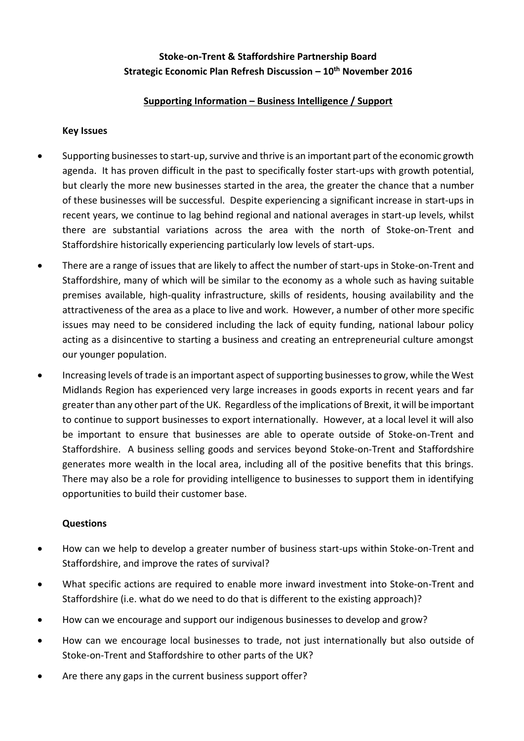### **Supporting Information – Business Intelligence / Support**

#### **Key Issues**

- Supporting businesses to start-up, survive and thrive is an important part of the economic growth agenda. It has proven difficult in the past to specifically foster start-ups with growth potential, but clearly the more new businesses started in the area, the greater the chance that a number of these businesses will be successful. Despite experiencing a significant increase in start-ups in recent years, we continue to lag behind regional and national averages in start-up levels, whilst there are substantial variations across the area with the north of Stoke-on-Trent and Staffordshire historically experiencing particularly low levels of start-ups.
- There are a range of issues that are likely to affect the number of start-ups in Stoke-on-Trent and Staffordshire, many of which will be similar to the economy as a whole such as having suitable premises available, high-quality infrastructure, skills of residents, housing availability and the attractiveness of the area as a place to live and work. However, a number of other more specific issues may need to be considered including the lack of equity funding, national labour policy acting as a disincentive to starting a business and creating an entrepreneurial culture amongst our younger population.
- Increasing levels of trade is an important aspect of supporting businesses to grow, while the West Midlands Region has experienced very large increases in goods exports in recent years and far greater than any other part of the UK. Regardless of the implications of Brexit, it will be important to continue to support businesses to export internationally. However, at a local level it will also be important to ensure that businesses are able to operate outside of Stoke-on-Trent and Staffordshire. A business selling goods and services beyond Stoke-on-Trent and Staffordshire generates more wealth in the local area, including all of the positive benefits that this brings. There may also be a role for providing intelligence to businesses to support them in identifying opportunities to build their customer base.

- How can we help to develop a greater number of business start-ups within Stoke-on-Trent and Staffordshire, and improve the rates of survival?
- What specific actions are required to enable more inward investment into Stoke-on-Trent and Staffordshire (i.e. what do we need to do that is different to the existing approach)?
- How can we encourage and support our indigenous businesses to develop and grow?
- How can we encourage local businesses to trade, not just internationally but also outside of Stoke-on-Trent and Staffordshire to other parts of the UK?
- Are there any gaps in the current business support offer?